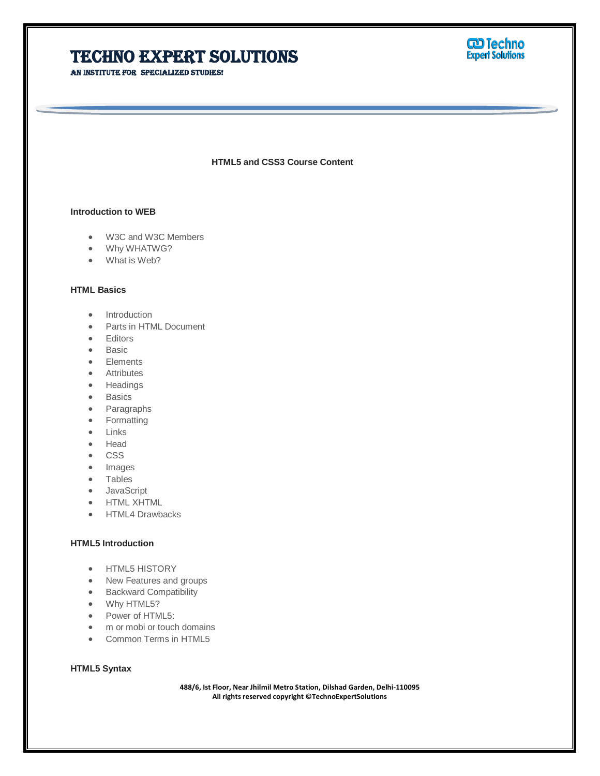AN INSTITUTE FOR SPECIALIZED STUDIES!



**HTML5 and CSS3 Course Content**

Ī

#### **Introduction to WEB**

- W3C and W3C Members
- Why WHATWG?
- What is Web?

#### **HTML Basics**

- Introduction
- Parts in HTML Document
- **•** Editors
- Basic
- Elements
- **•** Attributes
- Headings
- **•** Basics
- Paragraphs
- Formatting
- Links
- Head
- CSS
- Images
- Tables
- JavaScript
- **•** HTML XHTML
- HTML4 Drawbacks

#### **HTML5 Introduction**

- HTML5 HISTORY
- New Features and groups
- **•** Backward Compatibility
- Why HTML5?
- Power of HTML5:
- m or mobi or touch domains
- Common Terms in HTML5

# **HTML5 Syntax**

**488/6, Ist Floor, Near Jhilmil Metro Station, Dilshad Garden, Delhi-110095 All rights reserved copyright ©TechnoExpertSolutions**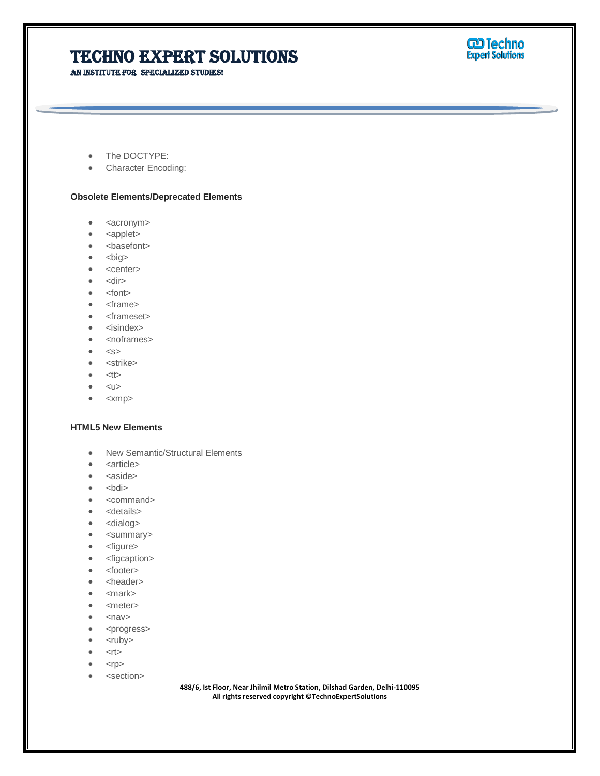An institute for specialized studies!



- The DOCTYPE:
- Character Encoding:

#### **Obsolete Elements/Deprecated Elements**

- $\bullet$  <acronym>
- <applet>
- <basefont>
- $\bullet$  <br/> <br/> <br/> <br/> <br/> <br/> <br/> <br/> <br/> <br/> <br/> <br/> <br/> <br/> <br/> <br/> <br/> <br/> <br/> <br/> <br/> <br/> <br/> <br/> $\bullet$
- <center>
- $\bullet$  <dir>
- $\bullet$  <font>
- <frame>
- <frameset>
- <isindex>
- <noframes>
- $\bullet \quad$
- <strike>
- $<$ tt $>$
- $\bullet \quad <$ u $>$
- <xmp>

#### **HTML5 New Elements**

- New Semantic/Structural Elements
- <article>
- $\bullet$  <aside>
- $\bullet$   $\n**old**$
- <command>
- < details>
- <dialog>
- <summary>
- <figure>
- <figcaption>
- <footer>
- <header>
- •</mark> <mark>
- $\bullet$  <meter>
- $\bullet$  <nav>
- <progress>
- $\bullet$  <ruby>
- $\bullet$  <rt>
- $<$ r $p$  $>$
- <section>

**488/6, Ist Floor, Near Jhilmil Metro Station, Dilshad Garden, Delhi-110095 All rights reserved copyright ©TechnoExpertSolutions**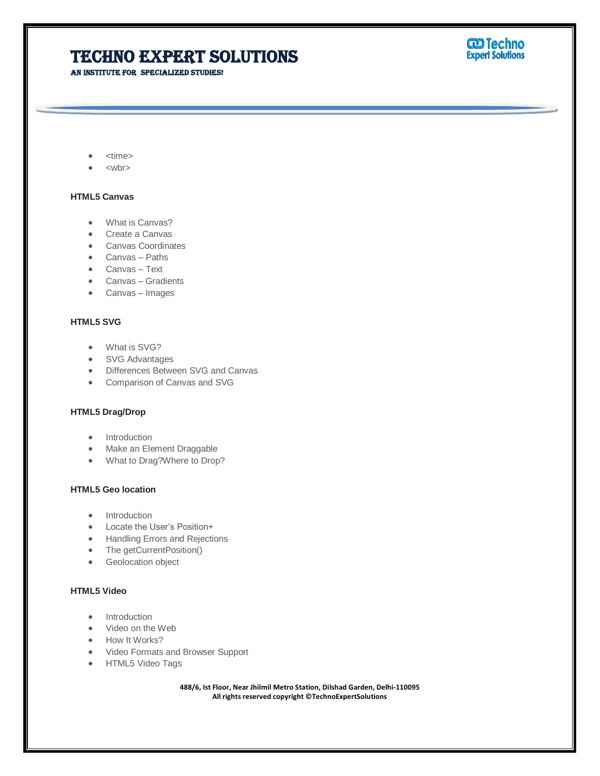AN INSTITUTE FOR SPECIALIZED STUDIES!



- <time>
- <wbr>

#### **HTML5 Canvas**

- What is Canvas?
- Create a Canvas
- Canvas Coordinates
- Canvas Paths
- Canvas Text
- Canvas Gradients
- Canvas Images

#### **HTML5 SVG**

- What is SVG?
- SVG Advantages
- Differences Between SVG and Canvas
- Comparison of Canvas and SVG

#### **HTML5 Drag/Drop**

- Introduction
- Make an Element Draggable
- What to Drag?Where to Drop?

### **HTML5 Geo location**

- Introduction
- Locate the User's Position+
- **•** Handling Errors and Rejections
- The getCurrentPosition()
- **•** Geolocation object

#### **HTML5 Video**

- Introduction
- Video on the Web
- How It Works?
- Video Formats and Browser Support
- HTML5 Video Tags

**488/6, Ist Floor, Near Jhilmil Metro Station, Dilshad Garden, Delhi-110095 All rights reserved copyright ©TechnoExpertSolutions**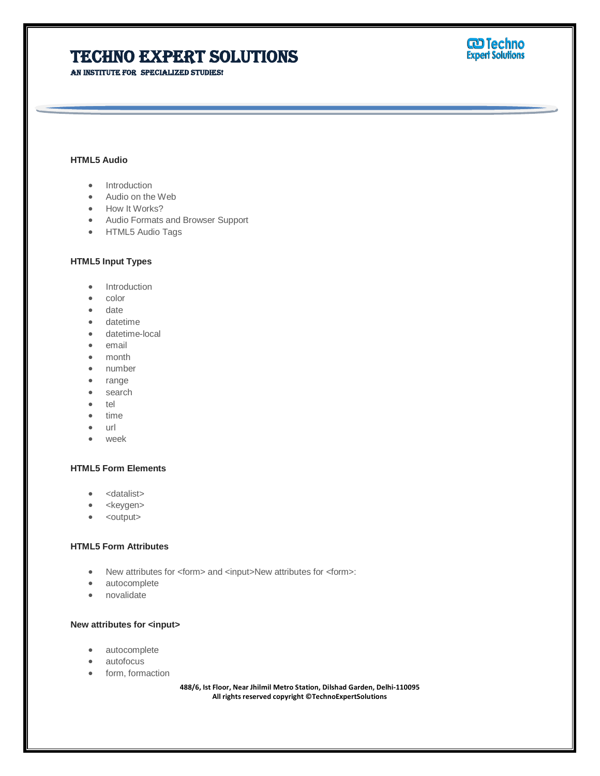An institute for specialized studies!



#### **HTML5 Audio**

- Introduction
- Audio on the Web
- How It Works?
- Audio Formats and Browser Support
- HTML5 Audio Tags

#### **HTML5 Input Types**

- Introduction
- color
- date
- datetime
- datetime-local
- email
- month
- number
- range
- search
- $\bullet$  tel
- time
- url
- week

#### **HTML5 Form Elements**

- <datalist>
- <keygen>
- $\bullet$  <output>

#### **HTML5 Form Attributes**

- New attributes for <form> and <input>New attributes for <form>:
- autocomplete
- novalidate

#### **New attributes for <input>**

- autocomplete
- autofocus
- form, formaction

**488/6, Ist Floor, Near Jhilmil Metro Station, Dilshad Garden, Delhi-110095 All rights reserved copyright ©TechnoExpertSolutions**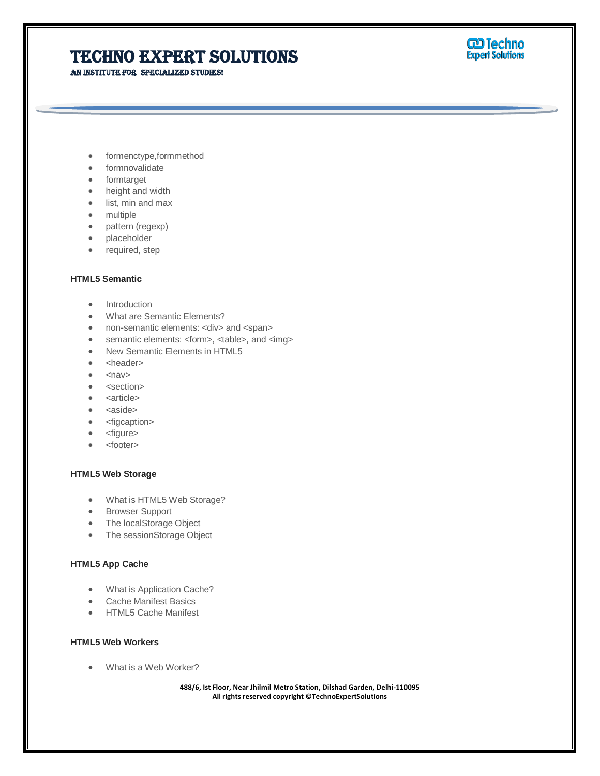AN INSTITUTE FOR SPECIALIZED STUDIES!



- formenctype,formmethod
- formnovalidate
- formtarget
- height and width
- list, min and max
- multiple
- pattern (regexp)
- placeholder
- required, step

#### **HTML5 Semantic**

- Introduction
- What are Semantic Elements?
- non-semantic elements: <div> and <span>
- semantic elements: <form>, <table>, and <img>
- New Semantic Elements in HTML5
- <header>
- $\bullet$  <nav>
- <section>
- <article>
- <aside>
- <figcaption>
- <figure>
- <footer>

#### **HTML5 Web Storage**

- What is HTML5 Web Storage?
- **•** Browser Support
- The localStorage Object
- The sessionStorage Object

#### **HTML5 App Cache**

- What is Application Cache?
- Cache Manifest Basics
- HTML5 Cache Manifest

#### **HTML5 Web Workers**

What is a Web Worker?

**488/6, Ist Floor, Near Jhilmil Metro Station, Dilshad Garden, Delhi-110095 All rights reserved copyright ©TechnoExpertSolutions**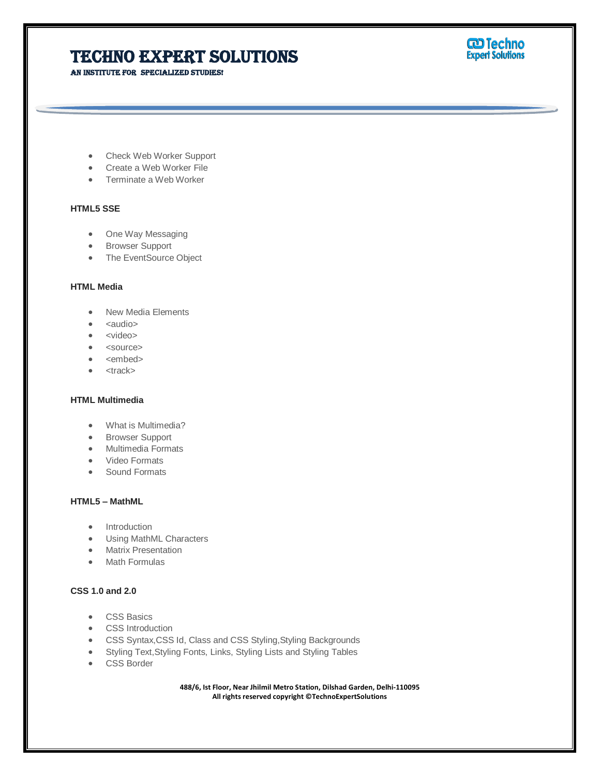AN INSTITUTE FOR SPECIALIZED STUDIES!



- Check Web Worker Support
- Create a Web Worker File
- Terminate a Web Worker

#### **HTML5 SSE**

- One Way Messaging
- **•** Browser Support
- The EventSource Object

#### **HTML Media**

- New Media Elements
- $\bullet$  <audio>
- <video>
- <source>
- <embed>
- $\bullet$  <track>

#### **HTML Multimedia**

- What is Multimedia?
- **•** Browser Support
- Multimedia Formats
- Video Formats
- Sound Formats

### **HTML5 – MathML**

- Introduction
- Using MathML Characters
- Matrix Presentation
- Math Formulas

### **CSS 1.0 and 2.0**

- CSS Basics
- **•** CSS Introduction
- CSS Syntax,CSS Id, Class and CSS Styling,Styling Backgrounds
- Styling Text,Styling Fonts, Links, Styling Lists and Styling Tables
- **CSS** Border

**488/6, Ist Floor, Near Jhilmil Metro Station, Dilshad Garden, Delhi-110095 All rights reserved copyright ©TechnoExpertSolutions**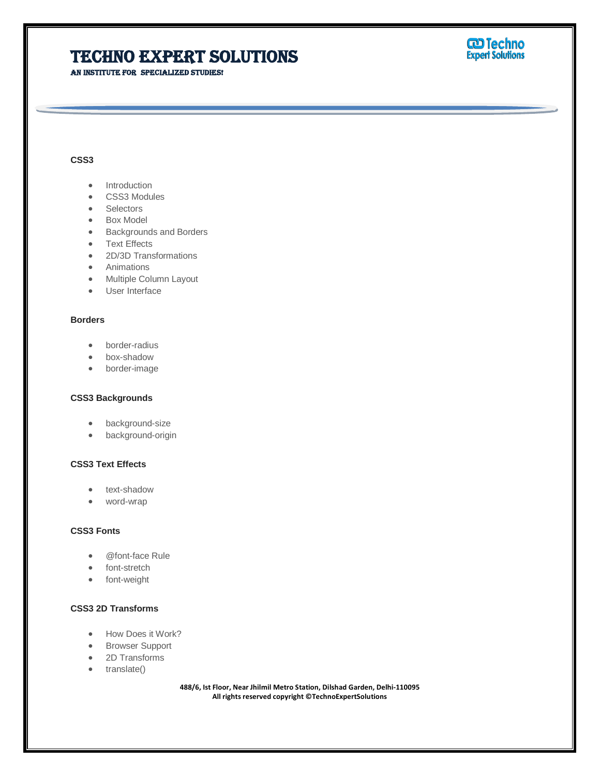An institute for specialized studies!

# **W** Techno

### **CSS3**

- Introduction
- CSS3 Modules
- Selectors
- Box Model
- Backgrounds and Borders
- Text Effects
- 2D/3D Transformations
- **•** Animations
- Multiple Column Layout
- User Interface

#### **Borders**

- border-radius
- box-shadow
- border-image

#### **CSS3 Backgrounds**

- background-size
- **•** background-origin

### **CSS3 Text Effects**

- text-shadow
- word-wrap

#### **CSS3 Fonts**

- @font-face Rule
- font-stretch
- font-weight

### **CSS3 2D Transforms**

- How Does it Work?
- **•** Browser Support
- 2D Transforms
- translate()

**488/6, Ist Floor, Near Jhilmil Metro Station, Dilshad Garden, Delhi-110095 All rights reserved copyright ©TechnoExpertSolutions**